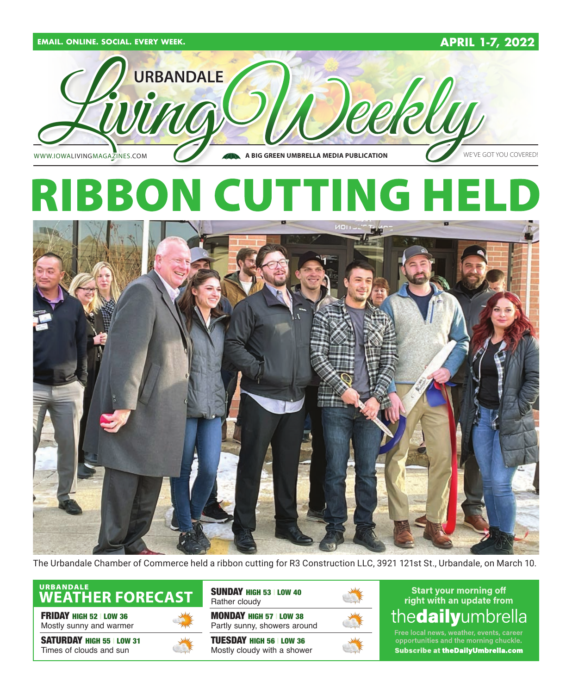

The Urbandale Chamber of Commerce held a ribbon cutting for R3 Construction LLC, 3921 121st St., Urbandale, on March 10.

## URBANDALE<br>WEATHER FORECAST

**FRIDAY HIGH 52 | LOW 36** Mostly sunny and warmer

SATURDAY HIGH 55 | LOW 31 Times of clouds and sun



SUNDAY HIGH 53 | LOW 40 Rather cloudy

MONDAY HIGH 57 | LOW 38 Partly sunny, showers around

TUESDAY HIGH 56 | LOW 36 Mostly cloudy with a shower



**Start your morning off** right with an update from thedailyumbrella

Free local news, weather, events, career<br>opportunities and the morning chuckle. **Subscribe at theDailyUmbrella.com**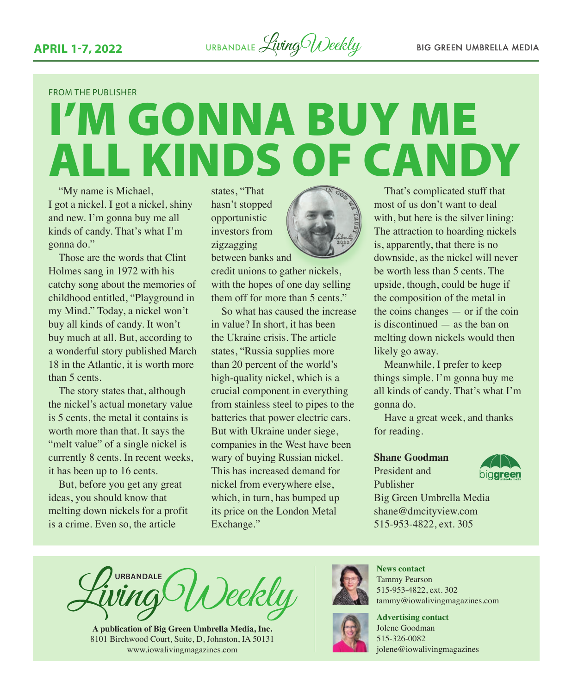FROM THE PUBLISHER

## I'M GONNA BUY ME ALL KINDS OF CANDY

"My name is Michael, I got a nickel. I got a nickel, shiny and new. I'm gonna buy me all kinds of candy. That's what I'm gonna do."

Those are the words that Clint Holmes sang in 1972 with his catchy song about the memories of childhood entitled, "Playground in my Mind." Today, a nickel won't buy all kinds of candy. It won't buy much at all. But, according to a wonderful story published March 18 in the Atlantic, it is worth more than 5 cents.

The story states that, although the nickel's actual monetary value is 5 cents, the metal it contains is worth more than that. It says the "melt value" of a single nickel is currently 8 cents. In recent weeks, it has been up to 16 cents.

But, before you get any great ideas, you should know that melting down nickels for a profit is a crime. Even so, the article

states, "That hasn't stopped opportunistic investors from zigzagging between banks and

credit unions to gather nickels, with the hopes of one day selling them off for more than 5 cents."

So what has caused the increase in value? In short, it has been the Ukraine crisis. The article states, "Russia supplies more than 20 percent of the world's high-quality nickel, which is a crucial component in everything from stainless steel to pipes to the batteries that power electric cars. But with Ukraine under siege, companies in the West have been wary of buying Russian nickel. This has increased demand for nickel from everywhere else, which, in turn, has bumped up its price on the London Metal Exchange."



That's complicated stuff that most of us don't want to deal with, but here is the silver lining: The attraction to hoarding nickels is, apparently, that there is no downside, as the nickel will never be worth less than 5 cents. The upside, though, could be huge if the composition of the metal in the coins changes — or if the coin is discontinued — as the ban on melting down nickels would then likely go away.

Meanwhile, I prefer to keep things simple. I'm gonna buy me all kinds of candy. That's what I'm gonna do.

Have a great week, and thanks for reading.

#### **Shane Goodman**

President and Publisher



Big Green Umbrella Media shane@dmcityview.com 515-953-4822, ext. 305

**URBANDALE** )eekly

**A publication of Big Green Umbrella Media, Inc.** 8101 Birchwood Court, Suite, D, Johnston, IA 50131 [www.iowalivingmagazines.com](http://www.iowalivingmagazines.com)



**News contact** Tammy Pearson 515-953-4822, ext. 302 [tammy@iowalivingmagazines.com](mailto:tammy@iowalivingmagazines.com)

**Advertising contact** Jolene Goodman 515-326-0082 jolene@iowalivingmagazines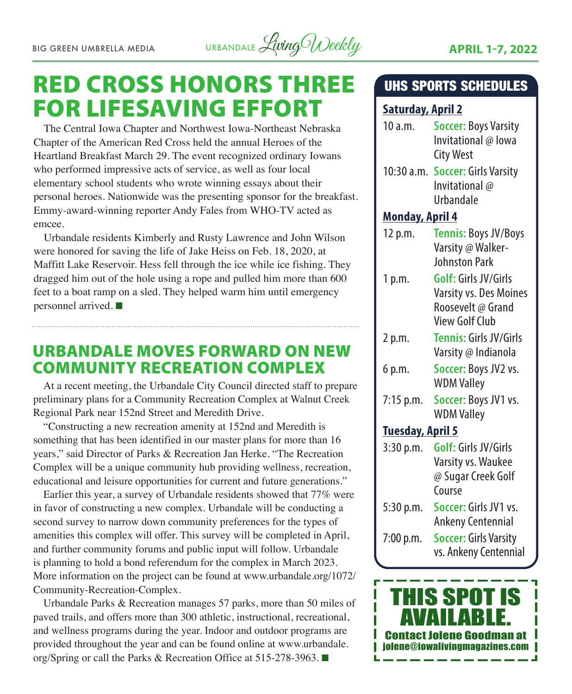

## RED CROSS HONORS THREE FOR LIFESAVING EFFORT

The Central Iowa Chapter and Northwest Iowa-Northeast Nebraska Chapter of the American Red Cross held the annual Heroes of the Heartland Breakfast March 29. The event recognized ordinary Iowans who performed impressive acts of service, as well as four local elementary school students who wrote winning essays about their personal heroes. Nationwide was the presenting sponsor for the breakfast. Emmy-award-winning reporter Andy Fales from WHO-TV acted as emcee.

Urbandale residents Kimberly and Rusty Lawrence and John Wilson were honored for saving the life of Jake Heiss on Feb. 18, 2020, at Maffitt Lake Reservoir. Hess fell through the ice while ice fishing. They dragged him out of the hole using a rope and pulled him more than 600 feet to a boat ramp on a sled. They helped warm him until emergency personnel arrived.  $\blacksquare$ 

## URBANDALE MOVES FORWARD ON NEW COMMUNITY RECREATION COMPLEX

At a recent meeting, the Urbandale City Council directed staff to prepare preliminary plans for a Community Recreation Complex at Walnut Creek Regional Park near 152nd Street and Meredith Drive.

"Constructing a new recreation amenity at 152nd and Meredith is something that has been identified in our master plans for more than 16 years," said Director of Parks & Recreation Jan Herke. "The Recreation Complex will be a unique community hub providing wellness, recreation, educational and leisure opportunities for current and future generations."

Earlier this year, a survey of Urbandale residents showed that 77% were in favor of constructing a new complex. Urbandale will be conducting a second survey to narrow down community preferences for the types of amenities this complex will offer. This survey will be completed in April, and further community forums and public input will follow. Urbandale is planning to hold a bond referendum for the complex in March 2023. More information on the project can be found at [www.urbandale.org/1072/](http://www.urbandale.org/1072/Community-Recreation-Complex) [Community-Recreation-Complex](http://www.urbandale.org/1072/Community-Recreation-Complex).

Urbandale Parks & Recreation manages 57 parks, more than 50 miles of paved trails, and offers more than 300 athletic, instructional, recreational, and wellness programs during the year. Indoor and outdoor programs are provided throughout the year and can be found online at [www.urbandale.](http://www.urbandale.org/Spring) [org/Spring](http://www.urbandale.org/Spring) or call the Parks & Recreation Office at 515-278-3963.  $\blacksquare$ 

#### UHS SPORTS SCHEDULES

#### **Saturday, April 2**

- 10 a.m. **Soccer:** Boys Varsity Invitational @ Iowa City West
- 10:30 a.m. **Soccer:** Girls Varsity Invitational @ Urbandale

#### **Monday, April 4**

- 12 p.m. **Tennis:** Boys JV/Boys Varsity @ Walker-Johnston Park
- 1 p.m. **Golf:** Girls JV/Girls Varsity vs. Des Moines Roosevelt @ Grand View Golf Club
- 2 p.m. **Tennis:** Girls JV/Girls Varsity @ Indianola
- 6 p.m. **Soccer:** Boys JV2 vs. WDM Valley
- 7:15 p.m. **Soccer:** Boys JV1 vs. WDM Valley

#### **Tuesday, April 5**

- 3:30 p.m. **Golf:** Girls JV/Girls Varsity vs. Waukee @ Sugar Creek Golf Course 5:30 p.m. **Soccer:** Girls JV1 vs.
- Ankeny Centennial 7:00 p.m. **Soccer:** Girls Varsity

vs. Ankeny Centennial

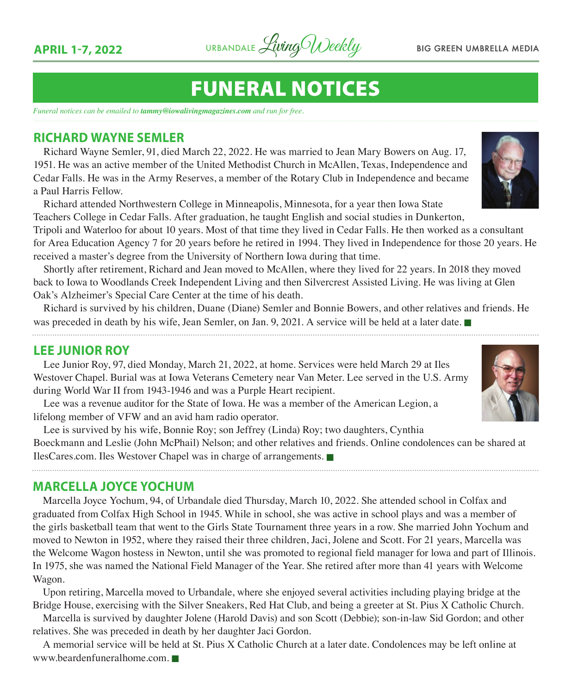

## FUNERAL NOTICES

*Funeral notices can be emailed to tammy@iowalivingmagazines.com and run for free.*

#### **RICHARD WAYNE SEMLER**

Richard Wayne Semler, 91, died March 22, 2022. He was married to Jean Mary Bowers on Aug. 17, 1951. He was an active member of the United Methodist Church in McAllen, Texas, Independence and Cedar Falls. He was in the Army Reserves, a member of the Rotary Club in Independence and became a Paul Harris Fellow.

Richard attended Northwestern College in Minneapolis, Minnesota, for a year then Iowa State Teachers College in Cedar Falls. After graduation, he taught English and social studies in Dunkerton,

Tripoli and Waterloo for about 10 years. Most of that time they lived in Cedar Falls. He then worked as a consultant for Area Education Agency 7 for 20 years before he retired in 1994. They lived in Independence for those 20 years. He received a master's degree from the University of Northern Iowa during that time.

Shortly after retirement, Richard and Jean moved to McAllen, where they lived for 22 years. In 2018 they moved back to Iowa to Woodlands Creek Independent Living and then Silvercrest Assisted Living. He was living at Glen Oak's Alzheimer's Special Care Center at the time of his death.

Richard is survived by his children, Duane (Diane) Semler and Bonnie Bowers, and other relatives and friends. He was preceded in death by his wife, Jean Semler, on Jan. 9, 2021. A service will be held at a later date.

#### **LEE JUNIOR ROY**

Lee Junior Roy, 97, died Monday, March 21, 2022, at home. Services were held March 29 at Iles Westover Chapel. Burial was at Iowa Veterans Cemetery near Van Meter. Lee served in the U.S. Army during World War II from 1943-1946 and was a Purple Heart recipient.

Lee was a revenue auditor for the State of Iowa. He was a member of the American Legion, a lifelong member of VFW and an avid ham radio operator.

Lee is survived by his wife, Bonnie Roy; son Jeffrey (Linda) Roy; two daughters, Cynthia Boeckmann and Leslie (John McPhail) Nelson; and other relatives and friends. Online condolences can be shared at [IlesCares.com.](http://IlesCares.com) Iles Westover Chapel was in charge of arrangements.

#### **MARCELLA JOYCE YOCHUM**

Marcella Joyce Yochum, 94, of Urbandale died Thursday, March 10, 2022. She attended school in Colfax and graduated from Colfax High School in 1945. While in school, she was active in school plays and was a member of the girls basketball team that went to the Girls State Tournament three years in a row. She married John Yochum and moved to Newton in 1952, where they raised their three children, Jaci, Jolene and Scott. For 21 years, Marcella was the Welcome Wagon hostess in Newton, until she was promoted to regional field manager for lowa and part of Illinois. In 1975, she was named the National Field Manager of the Year. She retired after more than 41 years with Welcome Wagon.

Upon retiring, Marcella moved to Urbandale, where she enjoyed several activities including playing bridge at the Bridge House, exercising with the Silver Sneakers, Red Hat Club, and being a greeter at St. Pius X Catholic Church.

Marcella is survived by daughter Jolene (Harold Davis) and son Scott (Debbie); son-in-law Sid Gordon; and other relatives. She was preceded in death by her daughter Jaci Gordon.

A memorial service will be held at St. Pius X Catholic Church at a later date. Condolences may be left online at [www.beardenfuneralhome.com.](http://www.beardenfuneralhome.com)



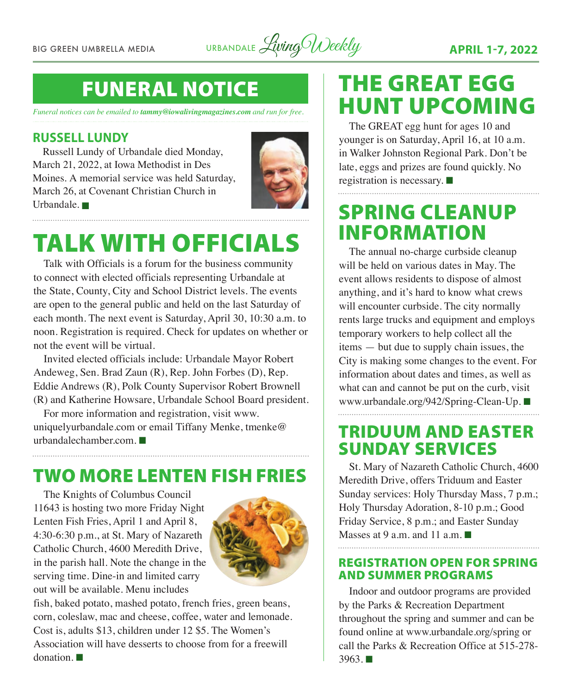BIG GREEN UMBRELLA MEDIA URBANDALE *Living Weekly* **APRIL 1-7, 2022** 

## FUNERAL NOTICE

*Funeral notices can be emailed to tammy@iowalivingmagazines.com and run for free.*

#### **RUSSELL LUNDY**

Russell Lundy of Urbandale died Monday, March 21, 2022, at Iowa Methodist in Des Moines. A memorial service was held Saturday, March 26, at Covenant Christian Church in Urbandale.  $\blacksquare$ 



## TALK WITH OFFICIALS

Talk with Officials is a forum for the business community to connect with elected officials representing Urbandale at the State, County, City and School District levels. The events are open to the general public and held on the last Saturday of each month. The next event is Saturday, April 30, 10:30 a.m. to noon. Registration is required. Check for updates on whether or not the event will be virtual.

Invited elected officials include: Urbandale Mayor Robert Andeweg, Sen. Brad Zaun (R), Rep. John Forbes (D), Rep. Eddie Andrews (R), Polk County Supervisor Robert Brownell (R) and Katherine Howsare, Urbandale School Board president.

For more information and registration, visit [www.](http://www.uniquelyurbandale.com) [uniquelyurbandale.com](http://www.uniquelyurbandale.com) or email Tiffany Menke, [tmenke@](mailto:tmenke@urbandalechamber.com) [urbandalechamber.com.](mailto:tmenke@urbandalechamber.com)  $\blacksquare$ 

## TWO MORE LENTEN FISH FRIES

The Knights of Columbus Council 11643 is hosting two more Friday Night Lenten Fish Fries, April 1 and April 8, 4:30-6:30 p.m., at St. Mary of Nazareth Catholic Church, 4600 Meredith Drive, in the parish hall. Note the change in the serving time. Dine-in and limited carry out will be available. Menu includes



fish, baked potato, mashed potato, french fries, green beans, corn, coleslaw, mac and cheese, coffee, water and lemonade. Cost is, adults \$13, children under 12 \$5. The Women's Association will have desserts to choose from for a freewill  $domation$ 

## THE GREAT EGG HUNT UPCOMING

The GREAT egg hunt for ages 10 and younger is on Saturday, April 16, at 10 a.m. in Walker Johnston Regional Park. Don't be late, eggs and prizes are found quickly. No registration is necessary.  $\blacksquare$ 

## SPRING CLEANUP INFORMATION

The annual no-charge curbside cleanup will be held on various dates in May. The event allows residents to dispose of almost anything, and it's hard to know what crews will encounter curbside. The city normally rents large trucks and equipment and employs temporary workers to help collect all the items — but due to supply chain issues, the City is making some changes to the event. For information about dates and times, as well as what can and cannot be put on the curb, visit [www.urbandale.org/942/Spring-Clean-Up.](http://www.urbandale.org/942/Spring-Clean-Up) ■

## TRIDUUM AND EASTER SUNDAY SERVICES

St. Mary of Nazareth Catholic Church, 4600 Meredith Drive, offers Triduum and Easter Sunday services: Holy Thursday Mass, 7 p.m.; Holy Thursday Adoration, 8-10 p.m.; Good Friday Service, 8 p.m.; and Easter Sunday Masses at 9 a.m. and 11 a.m.  $\blacksquare$ 

#### REGISTRATION OPEN FOR SPRING AND SUMMER PROGRAMS

Indoor and outdoor programs are provided by the Parks & Recreation Department throughout the spring and summer and can be found online at [www.urbandale.org/spring](http://www.urbandale.org/spring) or call the Parks & Recreation Office at 515-278-  $3963.$   $\blacksquare$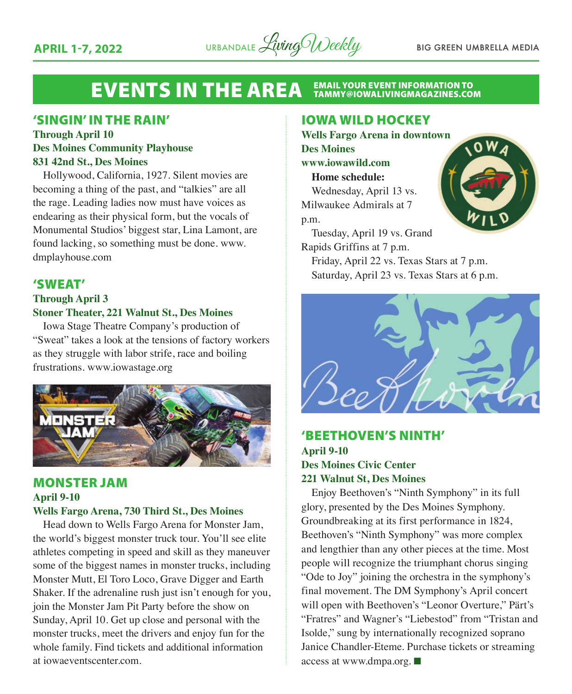

## EVENTS IN THE AREA EMAIL YOUR EVENT INFORMATION TO

#### 'SINGIN' IN THE RAIN'

#### **Through April 10 Des Moines Community Playhouse 831 42nd St., Des Moines**

Hollywood, California, 1927. Silent movies are becoming a thing of the past, and "talkies" are all the rage. Leading ladies now must have voices as endearing as their physical form, but the vocals of Monumental Studios' biggest star, Lina Lamont, are found lacking, so something must be done. www. dmplayhouse.com

#### 'SWEAT'

#### **Through April 3 Stoner Theater, 221 Walnut St., Des Moines**

Iowa Stage Theatre Company's production of "Sweat" takes a look at the tensions of factory workers as they struggle with labor strife, race and boiling frustrations. www.iowastage.org



#### MONSTER JAM **April 9-10 Wells Fargo Arena, 730 Third St., Des Moines**

Head down to Wells Fargo Arena for Monster Jam, the world's biggest monster truck tour. You'll see elite athletes competing in speed and skill as they maneuver some of the biggest names in monster trucks, including Monster Mutt, El Toro Loco, Grave Digger and Earth Shaker. If the adrenaline rush just isn't enough for you, join the Monster Jam Pit Party before the show on Sunday, April 10. Get up close and personal with the monster trucks, meet the drivers and enjoy fun for the whole family. Find tickets and additional information at iowaeventscenter.com.

#### IOWA WILD HOCKEY

**Wells Fargo Arena in downtown Des Moines www.iowawild.com**

**Home schedule:** Wednesday, April 13 vs. Milwaukee Admirals at 7

p.m.

Tuesday, April 19 vs. Grand Rapids Griffins at 7 p.m.

Friday, April 22 vs. Texas Stars at 7 p.m. Saturday, April 23 vs. Texas Stars at 6 p.m.



#### 'BEETHOVEN'S NINTH' **April 9-10 Des Moines Civic Center 221 Walnut St, Des Moines**

Enjoy Beethoven's "Ninth Symphony" in its full glory, presented by the Des Moines Symphony. Groundbreaking at its first performance in 1824, Beethoven's "Ninth Symphony" was more complex and lengthier than any other pieces at the time. Most people will recognize the triumphant chorus singing "Ode to Joy" joining the orchestra in the symphony's final movement. The DM Symphony's April concert will open with Beethoven's "Leonor Overture," Pärt's "Fratres" and Wagner's "Liebestod" from "Tristan and Isolde," sung by internationally recognized soprano Janice Chandler-Eteme. Purchase tickets or streaming access at www.dmpa.org.  $\blacksquare$ 

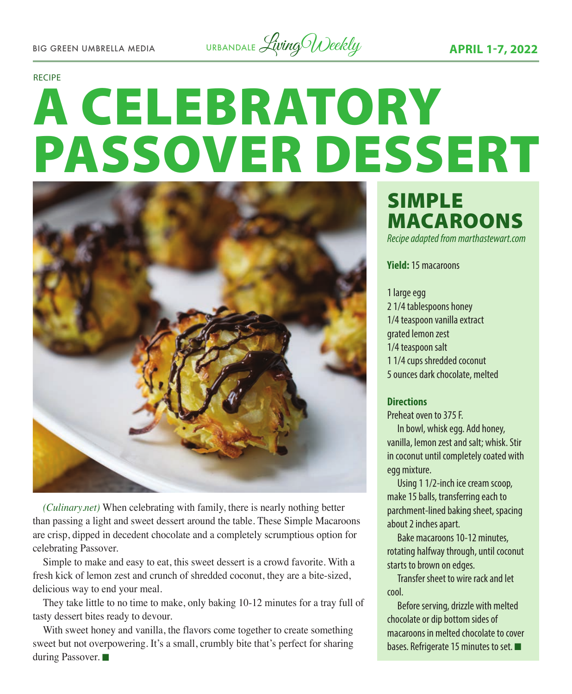BIG GREEN UMBRELLA MEDIA URBANDALE *Living Weekly* **APRIL 1-7, 2022** 

#### RECIPE

# A CELEBRATORY PASSOVER DESSERT



*(Culinary.net)* When celebrating with family, there is nearly nothing better than passing a light and sweet dessert around the table. These Simple Macaroons are crisp, dipped in decedent chocolate and a completely scrumptious option for celebrating Passover.

Simple to make and easy to eat, this sweet dessert is a crowd favorite. With a fresh kick of lemon zest and crunch of shredded coconut, they are a bite-sized, delicious way to end your meal.

They take little to no time to make, only baking 10-12 minutes for a tray full of tasty dessert bites ready to devour.

With sweet honey and vanilla, the flavors come together to create something sweet but not overpowering. It's a small, crumbly bite that's perfect for sharing during Passover.

### SIMPLE MACAROONS *Recipe adapted from marthastewart.com*

**Yield:** 15 macaroons

1 large egg 2 1/4 tablespoons honey 1/4 teaspoon vanilla extract grated lemon zest 1/4 teaspoon salt 1 1/4 cups shredded coconut 5 ounces dark chocolate, melted

#### **Directions**

Preheat oven to 375 F.

In bowl, whisk egg. Add honey, vanilla, lemon zest and salt; whisk. Stir in coconut until completely coated with egg mixture.

Using 1 1/2-inch ice cream scoop, make 15 balls, transferring each to parchment-lined baking sheet, spacing about 2 inches apart.

Bake macaroons 10-12 minutes, rotating halfway through, until coconut starts to brown on edges.

Transfer sheet to wire rack and let cool.

Before serving, drizzle with melted chocolate or dip bottom sides of macaroons in melted chocolate to cover bases. Refrigerate 15 minutes to set.  $\blacksquare$